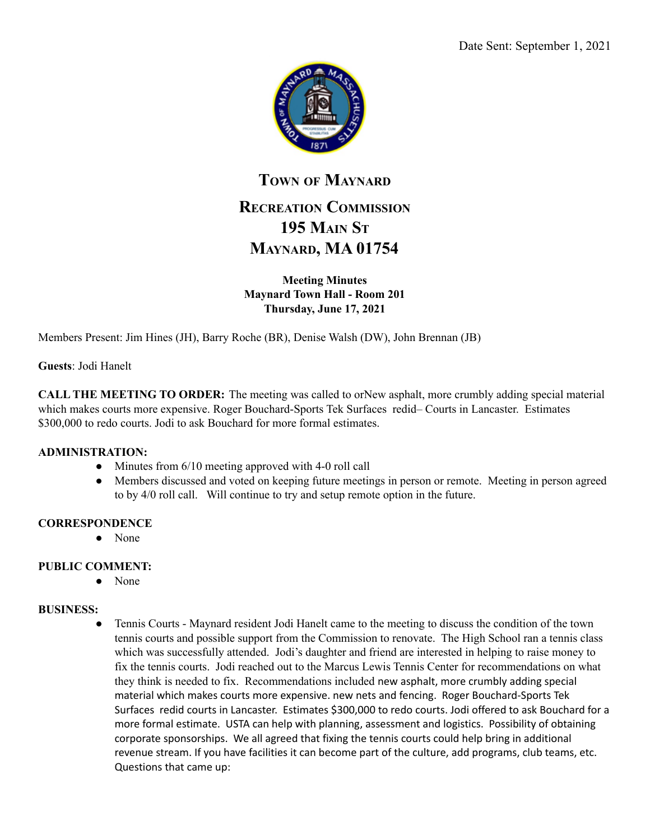

# **TOWN OF MAYNARD RECREATION COMMISSION 195 MAIN ST MAYNARD, MA 01754**

**Meeting Minutes Maynard Town Hall - Room 201 Thursday, June 17, 2021**

Members Present: Jim Hines (JH), Barry Roche (BR), Denise Walsh (DW), John Brennan (JB)

**Guests**: Jodi Hanelt

**CALL THE MEETING TO ORDER:** The meeting was called to orNew asphalt, more crumbly adding special material which makes courts more expensive. Roger Bouchard-Sports Tek Surfaces redid– Courts in Lancaster. Estimates \$300,000 to redo courts. Jodi to ask Bouchard for more formal estimates.

#### **ADMINISTRATION:**

- Minutes from 6/10 meeting approved with 4-0 roll call
- Members discussed and voted on keeping future meetings in person or remote. Meeting in person agreed to by 4/0 roll call. Will continue to try and setup remote option in the future.

#### **CORRESPONDENCE**

● None

#### **PUBLIC COMMENT:**

● None

#### **BUSINESS:**

• Tennis Courts - Maynard resident Jodi Hanelt came to the meeting to discuss the condition of the town tennis courts and possible support from the Commission to renovate. The High School ran a tennis class which was successfully attended. Jodi's daughter and friend are interested in helping to raise money to fix the tennis courts. Jodi reached out to the Marcus Lewis Tennis Center for recommendations on what they think is needed to fix. Recommendations included new asphalt, more crumbly adding special material which makes courts more expensive. new nets and fencing. Roger Bouchard-Sports Tek Surfaces redid courts in Lancaster. Estimates \$300,000 to redo courts. Jodi offered to ask Bouchard for a more formal estimate. USTA can help with planning, assessment and logistics. Possibility of obtaining corporate sponsorships. We all agreed that fixing the tennis courts could help bring in additional revenue stream. If you have facilities it can become part of the culture, add programs, club teams, etc. Questions that came up: